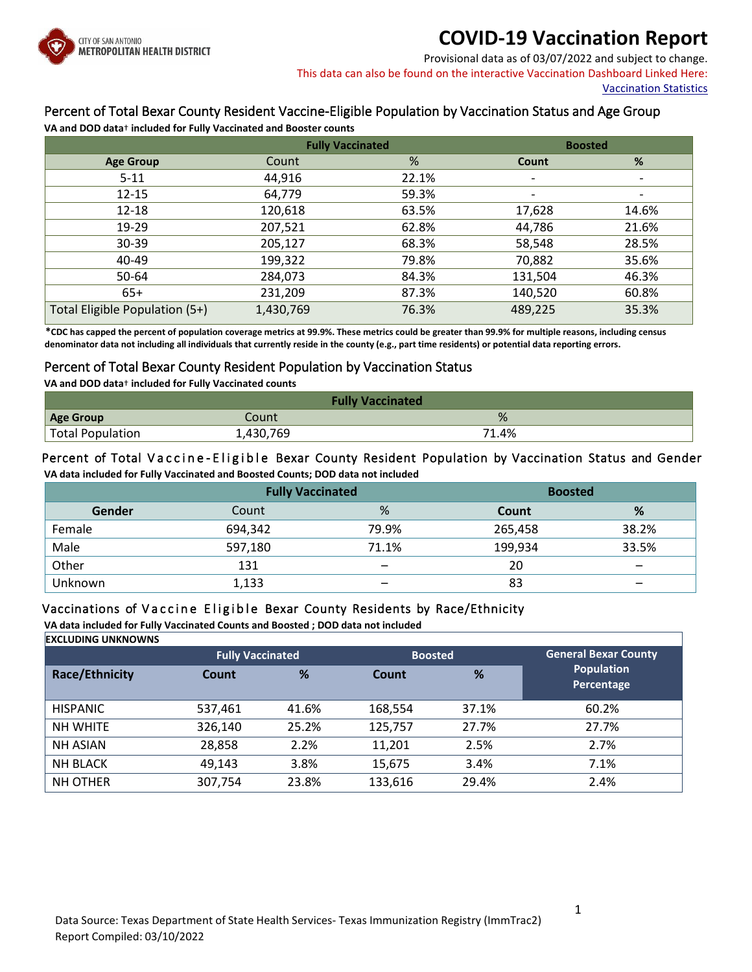

### **COVID-19 Vaccination Report**

Provisional data as of 03/07/2022 and subject to change. This data can also be found on the interactive Vaccination Dashboard Linked Here:

[Vaccination Statistics](https://covid19.sanantonio.gov/Reports-Statistics/Dashboards-Data/Vaccination-Statistics)

### Percent of Total Bexar County Resident Vaccine-Eligible Population by Vaccination Status and Age Group

**VA and DOD data**† **included for Fully Vaccinated and Booster counts**

|                                | <b>Fully Vaccinated</b> |       | <b>Boosted</b>           |                          |
|--------------------------------|-------------------------|-------|--------------------------|--------------------------|
| <b>Age Group</b>               | Count                   | %     | Count                    | %                        |
| $5 - 11$                       | 44,916                  | 22.1% | $\overline{\phantom{a}}$ |                          |
| $12 - 15$                      | 64,779                  | 59.3% | $\overline{\phantom{a}}$ | $\overline{\phantom{a}}$ |
| 12-18                          | 120,618                 | 63.5% | 17,628                   | 14.6%                    |
| 19-29                          | 207,521                 | 62.8% | 44,786                   | 21.6%                    |
| $30 - 39$                      | 205,127                 | 68.3% | 58,548                   | 28.5%                    |
| 40-49                          | 199,322                 | 79.8% | 70,882                   | 35.6%                    |
| 50-64                          | 284,073                 | 84.3% | 131,504                  | 46.3%                    |
| $65+$                          | 231,209                 | 87.3% | 140,520                  | 60.8%                    |
| Total Eligible Population (5+) | 1,430,769               | 76.3% | 489,225                  | 35.3%                    |

 **\*CDC has capped the percent of population coverage metrics at 99.9%. These metrics could be greater than 99.9% for multiple reasons, including census denominator data not including all individuals that currently reside in the county (e.g., part time residents) or potential data reporting errors.**

#### Percent of Total Bexar County Resident Population by Vaccination Status

**VA and DOD data**† **included for Fully Vaccinated counts**

| <b>Fully Vaccinated</b>       |           |       |  |  |
|-------------------------------|-----------|-------|--|--|
| <b>Age Group</b>              | Count     | %     |  |  |
| <sup>1</sup> Total Population | 1,430,769 | 71.4% |  |  |

#### Percent of Total Vaccine - Eligible Bexar County Resident Population by Vaccination Status and Gender **VA data included for Fully Vaccinated and Boosted Counts; DOD data not included**

|         |         | <b>Fully Vaccinated</b> |         | <b>Boosted</b>           |  |
|---------|---------|-------------------------|---------|--------------------------|--|
| Gender  | Count   | %                       | Count   | %                        |  |
| Female  | 694,342 | 79.9%                   | 265,458 | 38.2%                    |  |
| Male    | 597,180 | 71.1%                   | 199,934 | 33.5%                    |  |
| Other   | 131     |                         | 20      | $\overline{\phantom{0}}$ |  |
| Unknown | 1,133   |                         | 83      |                          |  |

### Vaccinations of Vaccine Eligible Bexar County Residents by Race/Ethnicity

**VA data included for Fully Vaccinated Counts and Boosted ; DOD data not included**

**EXCLUDING UNKNOWNS**

|                       |         | <b>Fully Vaccinated</b> |         | <b>Boosted</b> | <b>General Bexar County</b>     |
|-----------------------|---------|-------------------------|---------|----------------|---------------------------------|
| <b>Race/Ethnicity</b> | Count   | %                       | Count   | %              | <b>Population</b><br>Percentage |
| <b>HISPANIC</b>       | 537,461 | 41.6%                   | 168,554 | 37.1%          | 60.2%                           |
| <b>NH WHITE</b>       | 326,140 | 25.2%                   | 125,757 | 27.7%          | 27.7%                           |
| <b>NH ASIAN</b>       | 28,858  | 2.2%                    | 11,201  | 2.5%           | 2.7%                            |
| <b>NH BLACK</b>       | 49,143  | 3.8%                    | 15,675  | 3.4%           | 7.1%                            |
| <b>NH OTHER</b>       | 307,754 | 23.8%                   | 133,616 | 29.4%          | 2.4%                            |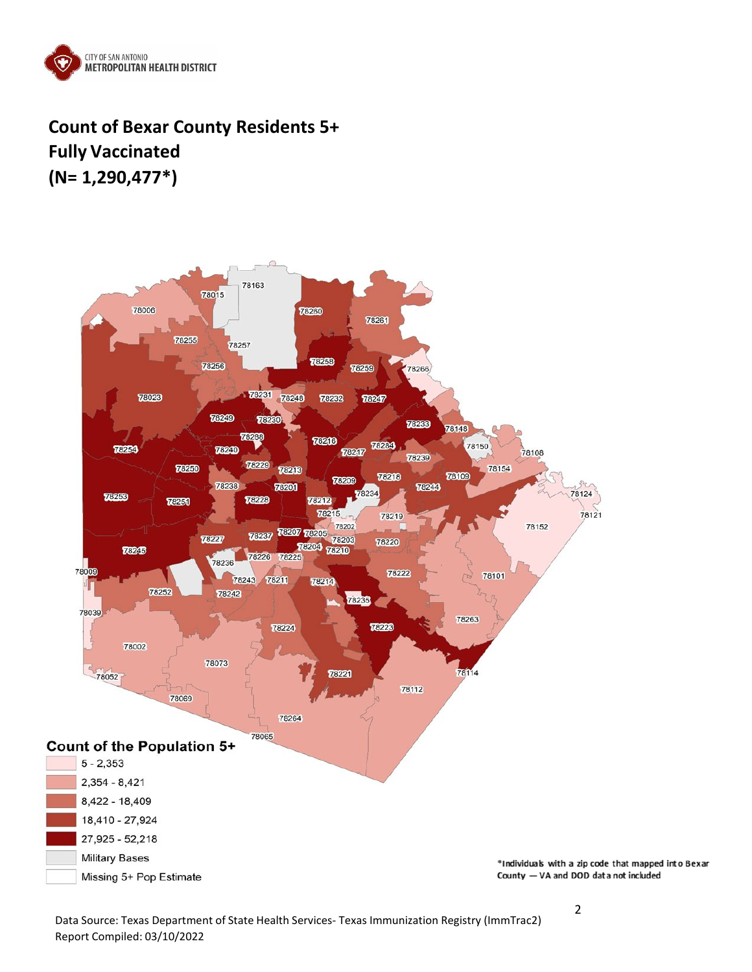

## **Count of Bexar County Residents 5+ Fully Vaccinated (N= 1,290,477\*)**



Data Source: Texas Department of State Health Services- Texas Immunization Registry (ImmTrac2) Report Compiled: 03/10/2022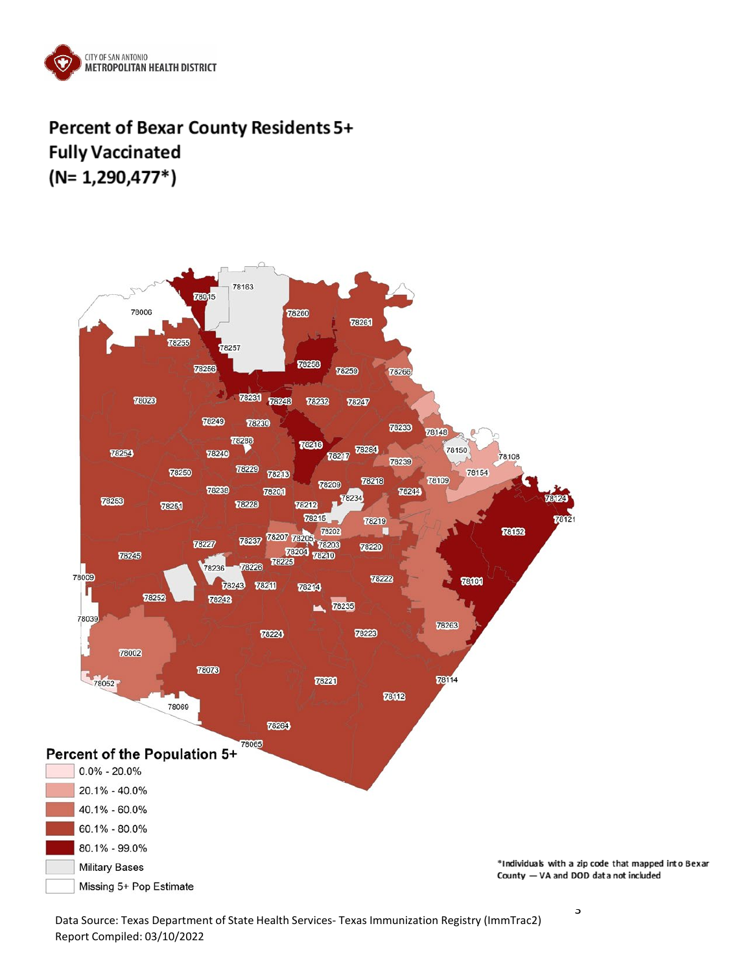

## Percent of Bexar County Residents 5+ **Fully Vaccinated**  $(N=1,290,477*)$



Data Source: Texas Department of State Health Services- Texas Immunization Registry (ImmTrac2) Report Compiled: 03/10/2022

3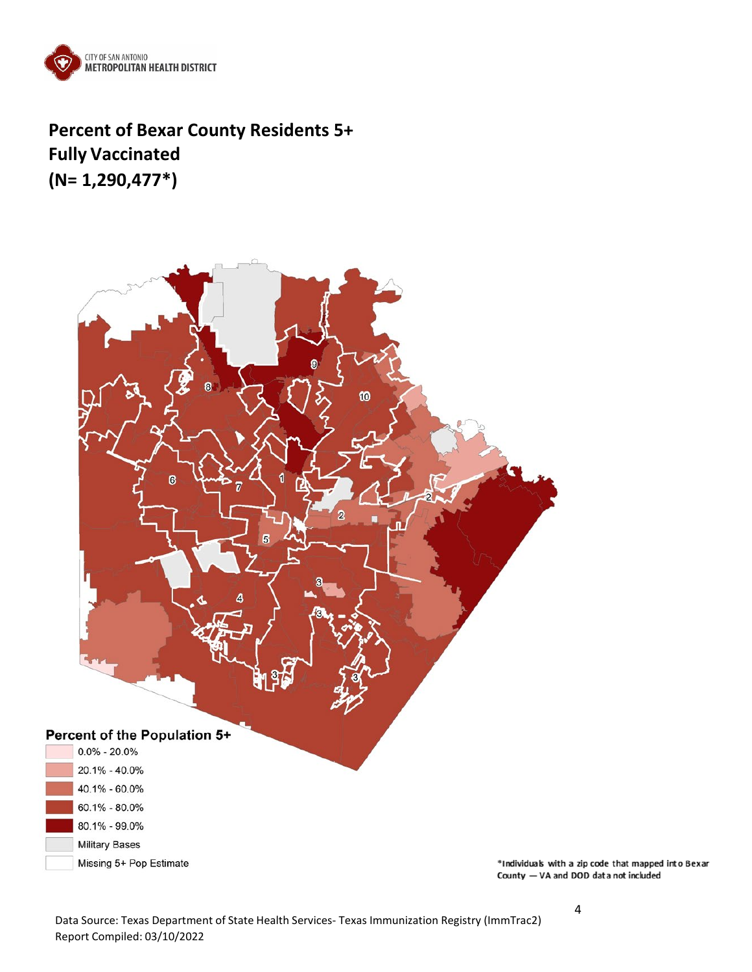

**Percent of Bexar County Residents 5+ Fully Vaccinated (N= 1,290,477\*)**



Data Source: Texas Department of State Health Services- Texas Immunization Registry (ImmTrac2) Report Compiled: 03/10/2022

4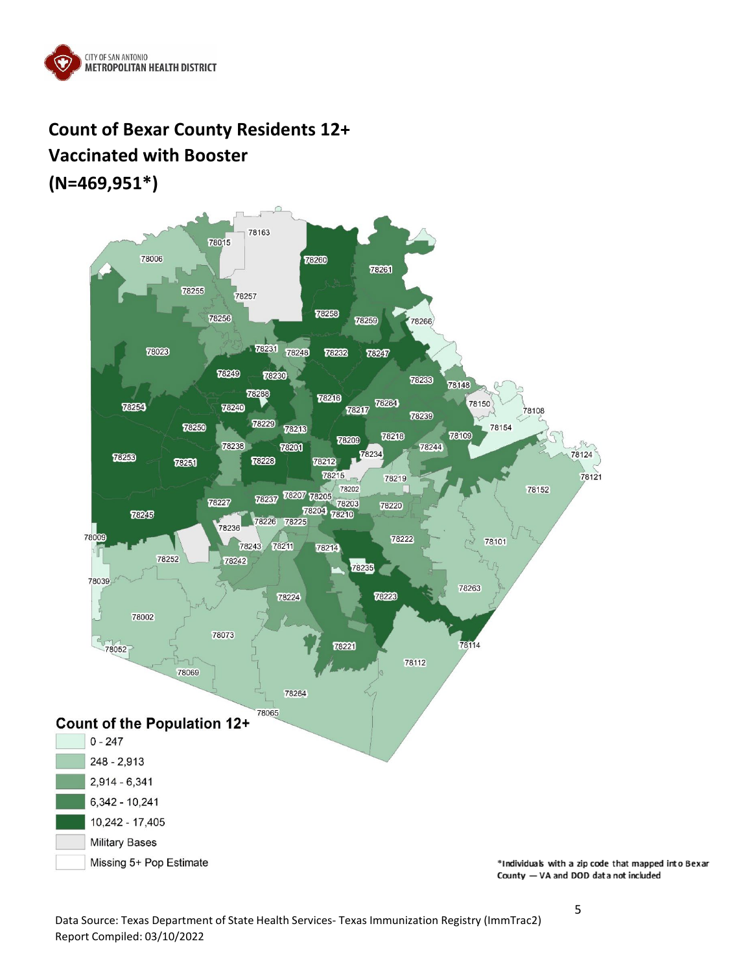

## **Count of Bexar County Residents 12+ Vaccinated with Booster (N=469,951\*)**

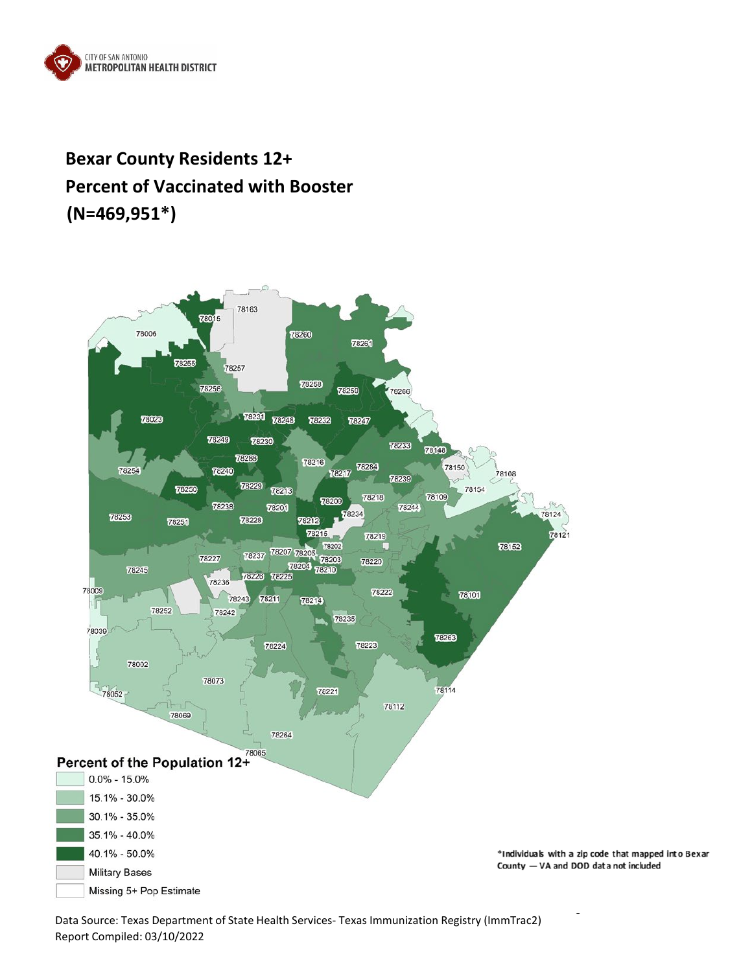

# **Bexar County Residents 12+ Percent of Vaccinated with Booster (N=469,951\*)**



Data Source: Texas Department of State Health Services- Texas Immunization Registry (ImmTrac2) Report Compiled: 03/10/2022